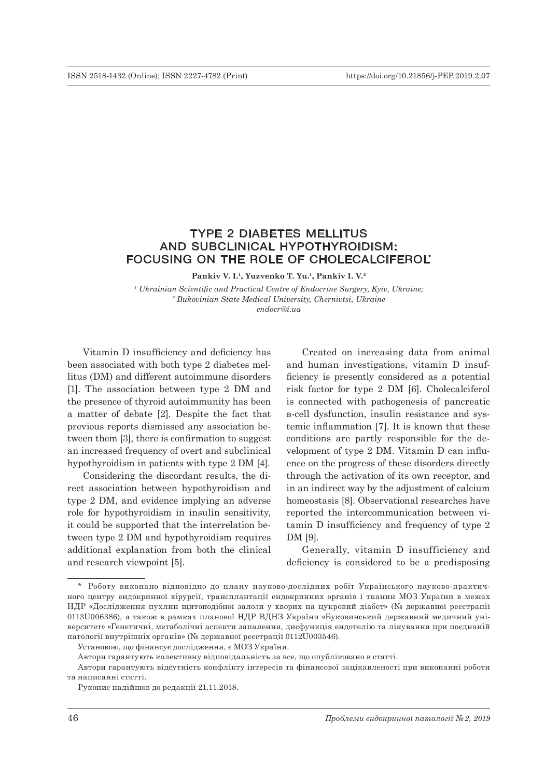# TYPE 2 DIABETES MELLITUS AND SUBCLINICAL HYPOTHYROIDISM: FOCUSING ON THE ROLE OF CHOLECALCIFEROL\*

**Pankiv V. I.1, Yuzvenko T. Yu.1, Pankiv I. V.2**

*1 Ukrainian Scientific and Practical Centre of Endocrine Surgery, Kyiv, Ukraine; 2 Bukovinian State Medical University, Chernivtsi, Ukraine endocr@i.ua*

Vitamin D insufficiency and deficiency has been associated with both type 2 diabetes mellitus (DM) and different autoimmune disorders [1]. The association between type 2 DM and the presence of thyroid autoimmunity has been a matter of debate [2]. Despite the fact that previous reports dismissed any association between them [3], there is confirmation to suggest an increased frequency of overt and subclinical hypothyroidism in patients with type 2 DM [4].

Considering the discordant results, the direct association between hypothyroidism and type 2 DM, and evidence implying an adverse role for hypothyroidism in insulin sensitivity, it could be supported that the interrelation between type 2 DM and hypothyroidism requires additional explanation from both the clinical and research viewpoint [5].

Created on increasing data from animal and human investigations, vitamin D insufficiency is presently considered as a potential risk factor for type 2 DM [6]. Cholecalciferol is connected with pathogenesis of pancreatic в‑cell dysfunction, insulin resistance and systemic inflammation [7]. It is known that these conditions are partly responsible for the development of type 2 DM. Vitamin D can influence on the progress of these disorders directly through the activation of its own receptor, and in an indirect way by the adjustment of calcium homeostasis [8]. Observational researches have reported the intercommunication between vitamin D insufficiency and frequency of type 2 DM [9].

Generally, vitamin D insufficiency and deficiency is considered to be a predisposing

<sup>\*</sup> Роботу виконано відповідно до плану науково-дослідних робіт Українського науково-практичного центру ендокринної хірургії, трансплантації ендокринних органів і тканин МОЗ України в межах НДР «Дослідження пухлин щитоподібної залози у хворих на цукровий діабет» (№ державної реєстрації 0113U006386), а також в рамках планової НДР ВДНЗ України «Буковинський державний медичний університет» «Генетичні, метаболічні аспекти запалення, дисфункція ендотелію та лікування при поєднаній патології внутрішніх органів» (№ державної реєстрації 0112U003546).

Установою, що фінансує дослідження, є МОЗ України.

Автори гарантують колективну відповідальність за все, що опубліковано в статті.

Автори гарантують відсутність конфлікту інтересів та фінансової зацікавленості при виконанні роботи та написанні статті.

Рукопис надійшов до редакції 21.11.2018.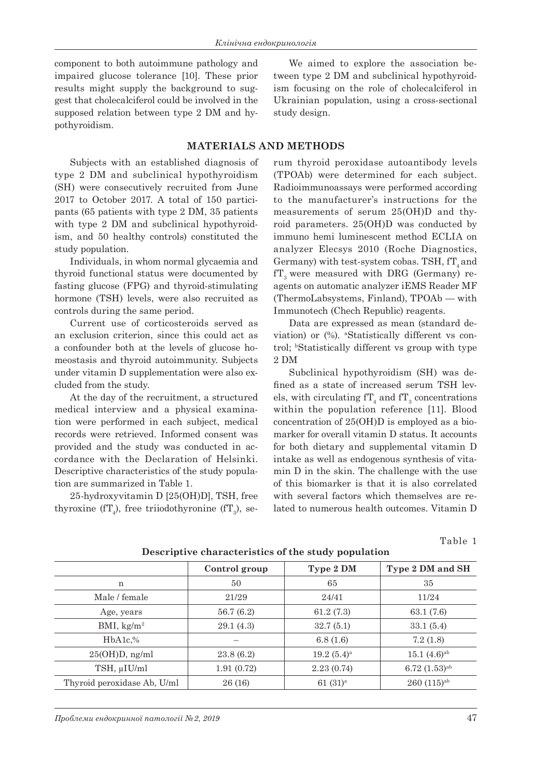component to both autoimmune pathology and impaired glucose tolerance [10]. These prior results might supply the background to suggest that cholecalciferol could be involved in the supposed relation between type 2 DM and hypothyroidism.

We aimed to explore the association between type 2 DM and subclinical hypothyroidism focusing on the role of cholecalciferol in Ukrainian population, using a cross-sectional study design.

# **MATERIALS AND METHODS**

Subjects with an established diagnosis of type 2 DM and subclinical hypothyroidism (SH) were consecutively recruited from June 2017 to October 2017. A total of 150 participants (65 patients with type 2 DM, 35 patients with type 2 DM and subclinical hypothyroidism, and 50 healthy controls) constituted the study population.

Individuals, in whom normal glycaemia and thyroid functional status were documented by fasting glucose (FPG) and thyroid-stimulating hormone (TSH) levels, were also recruited as controls during the same period.

Current use of corticosteroids served as an exclusion criterion, since this could act as a confounder both at the levels of glucose homeostasis and thyroid autoimmunity. Subjects under vitamin D supplementation were also excluded from the study.

At the day of the recruitment, a structured medical interview and a physical examination were performed in each subject, medical records were retrieved. Informed consent was provided and the study was conducted in accordance with the Declaration of Helsinki. Descriptive characteristics of the study population are summarized in Table 1.

25-hydroxyvitamіn D [25(OH)D], TSH, free thyroxine (fT<sub>4</sub>), free triiodothyronine (fT<sub>3</sub>), serum thyroid peroxidase autoantibody levels (TPOAb) were determined for eаch subject. Radіoimmunoassays were performed accordіng to the manufacturer's instructions for the measurements of serum 25(OH)D and thyroid parameters. 25(OH)D was conducted by immuno hemi luminescent method ECLIA on analyzer Elecsys 2010 (Roche Diagnostics, Germany) with test-system cobas. TSH,  $fT<sub>4</sub>$  and  $fT<sub>3</sub>$  were measured with DRG (Germany) reagents on automatic analyzer iEMS Reader MF (ThermoLabsystems, Finland), TPOAb — with Immunotech (Chech Republic) reagents.

Data are expressed as mean (standard deviation) or (%). aStatistically different vs control; bStatistically different vs group with type 2 DM

Subclinical hypothyroidism (SH) was defined as a state of increased serum TSH levels, with circulating  $fT_4$  and  $fT_3$  concentrations within the population reference [11]. Blood concentration of 25(OH)D is employed as a biomarker for overall vitamin D status. It accounts for both dietary and supplemental vitamin D intake as well as endogenous synthesis of vitamin D in the skin. The challenge with the use of this biomarker is that it is also correlated with several factors which themselves are related to numerous health outcomes. Vitamin D

Table 1

|                             | Control group | Type 2 DM           | Type 2 DM and SH         |  |
|-----------------------------|---------------|---------------------|--------------------------|--|
| n                           | 50            | 65                  | 35                       |  |
| Male / female               | 21/29         | 24/41               | 11/24                    |  |
| Age, years                  | 56.7(6.2)     | 61.2(7.3)           | 63.1 (7.6)               |  |
| BMI, $\text{kg/m}^2$        | 29.1(4.3)     | 32.7(5.1)           | 33.1(5.4)                |  |
| $HbA1c,\%$                  |               | 6.8(1.6)            | 7.2(1.8)                 |  |
| $25(OH)D$ , ng/ml           | 23.8(6.2)     | $19.2(5.4)^a$       | $15.1\ (4.6)^{ab}$       |  |
| TSH, µIU/ml                 | 1.91(0.72)    | 2.23(0.74)          | $6.72$ $(1.53)^{ab}$     |  |
| Thyroid peroxidase Ab, U/ml | 26 (16)       | 61(31) <sup>a</sup> | $260(115)$ <sup>ab</sup> |  |

**Descriptive characteristics of the study population**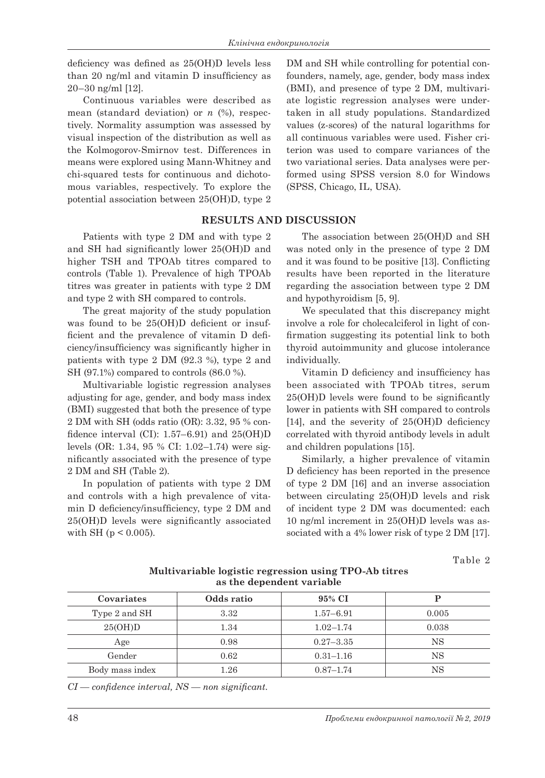deficiency was defined as 25(OH)D levels less than 20 ng/ml and vitamin D insufficiency as 20–30 ng/ml [12].

Continuous variables were described as mean (standard deviation) or *n* (%), respectively. Normality assumption was assessed by visual inspection of the distribution as well as the Kolmogorov-Smirnov test. Differences in means were explored using Mann-Whitney and chi-squared tests for continuous and dichotomous variables, respectively. To explore the potential association between 25(OH)D, type 2

Patients with type 2 DM and with type 2 and SH had significantly lower 25(OH)D and higher TSH and TPOAb titres compared to controls (Table 1). Prevalence of high TPOAb titres was greater in patients with type 2 DM and type 2 with SH compared to controls.

The great majority of the study population was found to be 25(OH)D deficient or insufficient and the prevalence of vitamin D deficiency/insufficiency was significantly higher in patients with type 2 DM (92.3 %), type 2 and SH (97.1%) compared to controls (86.0 %).

Multivariable logistic regression analyses adjusting for age, gender, and body mass index (BMI) suggested that both the presence of type 2 DM with SH (odds ratio (OR): 3.32, 95 % confidence interval (CI): 1.57–6.91) and 25(OH)D levels (OR: 1.34, 95 % CI: 1.02–1.74) were significantly associated with the presence of type 2 DM and SH (Table 2).

In population of patients with type 2 DM and controls with a high prevalence of vitamin D deficiency/insufficiency, type 2 DM and 25(OH)D levels were significantly associated with SH ( $p < 0.005$ ).

DM and SH while controlling for potential confounders, namely, age, gender, body mass index (BMI), and presence of type 2 DM, multivariate logistic regression analyses were undertaken in all study populations. Standardized values (z-scores) of the natural logarithms for all continuous variables were used. Fisher criterion was used to compare variances of the two variational series. Data analyses were performed using SPSS version 8.0 for Windows (SPSS, Chicago, IL, USA).

## **RESULTS AND DISCUSSION**

The association between 25(OH)D and SH was noted only in the presence of type 2 DM and it was found to be positive [13]. Conflicting results have been reported in the literature regarding the association between type 2 DM and hypothyroidism [5, 9].

We speculated that this discrepancy might involve a role for cholecalciferol in light of confirmation suggesting its potential link to both thyroid autoimmunity and glucose intolerance individually.

Vitamin D deficiency and insufficiency has been associated with TPOAb titres, serum 25(OH)D levels were found to be significantly lower in patients with SH compared to controls [14], and the severity of 25(OH)D deficiency correlated with thyroid antibody levels in adult and children populations [15].

Similarly, a higher prevalence of vitamin D deficiency has been reported in the presence of type 2 DM [16] and an inverse association between circulating 25(OH)D levels and risk of incident type 2 DM was documented: each 10 ng/ml increment in 25(OH)D levels was associated with a 4% lower risk of type 2 DM [17].

Table 2

| Covariates      | Odds ratio | 95% CI        | р     |
|-----------------|------------|---------------|-------|
| Type 2 and SH   | 3.32       | $1.57 - 6.91$ | 0.005 |
| 25(OH)D         | 1.34       | $1.02 - 1.74$ | 0.038 |
| Age             | 0.98       | $0.27 - 3.35$ | NS    |
| Gender          | 0.62       | $0.31 - 1.16$ | ΝS    |
| Body mass index | 1.26       | $0.87 - 1.74$ | NS    |

**Multivariable logistic regression using TPO-Ab titres as the dependent variable**

*CI — confidence interval, NS — non significant.*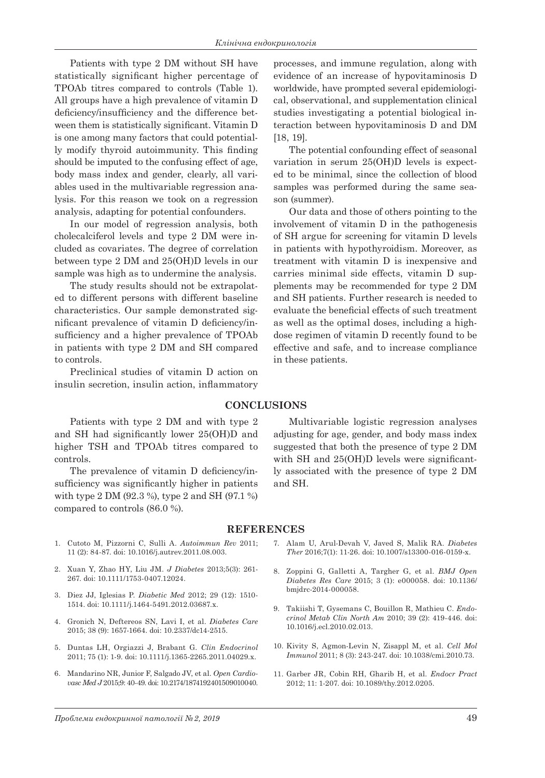Patients with type 2 DM without SH have statistically significant higher percentage of TPOAb titres compared to controls (Table 1). All groups have a high prevalence of vitamin D deficiency/insufficiency and the difference between them is statistically significant. Vitamin D is one among many factors that could potentially modify thyroid autoimmunity. This finding should be imputed to the confusing effect of age, body mass index and gender, clearly, all variables used in the multivariable regression analysis. For this reason we took on a regression analysis, adapting for potential confounders.

In our model of regression analysis, both cholecalciferol levels and type 2 DM were included as covariates. The degree of correlation between type 2 DM and 25(OH)D levels in our sample was high as to undermine the analysis.

The study results should not be extrapolated to different persons with different baseline characteristics. Our sample demonstrated significant prevalence of vitamin D deficiency/insufficiency and a higher prevalence of TPOAb in patients with type 2 DM and SH compared to controls.

Preclinical studies of vitamin D action on insulin secretion, insulin action, inflammatory

Patients with type 2 DM and with type 2 and SH had significantly lower 25(OH)D and higher TSH and TPOAb titres compared to controls.

The prevalence of vitamin D deficiency/insufficiency was significantly higher in patients with type 2 DM (92.3 %), type 2 and SH (97.1 %) compared to controls (86.0 %).

processes, and immune regulation, along with evidence of an increase of hypovitaminosis D worldwide, have prompted several epidemiological, observational, and supplementation clinical studies investigating a potential biological interaction between hypovitaminosis D and DM [18, 19].

The potential confounding effect of seasonal variation in serum 25(OH)D levels is expected to be minimal, since the collection of blood samples was performed during the same season (summer).

Our data and those of others pointing to the involvement of vitamin D in the pathogenesis of SH argue for screening for vitamin D levels in patients with hypothyroidism. Moreover, as treatment with vitamin D is inexpensive and carries minimal side effects, vitamin D supplements may be recommended for type 2 DM and SH patients. Further research is needed to evaluate the beneficial effects of such treatment as well as the optimal doses, including a highdose regimen of vitamin D recently found to be effective and safe, and to increase compliance in these patients.

### **CONCLUSIONS**

Multivariable logistic regression analyses adjusting for age, gender, and body mass index suggested that both the presence of type 2 DM with SH and  $25(OH)D$  levels were significantly associated with the presence of type 2 DM and SH.

#### **REFERENCES**

- 1. Cutoto M, Pizzorni C, Sulli A. *Autoimmun Rev* 2011; 11 (2): 84-87. doi: 10.1016/j.autrev.2011.08.003.
- 2. Xuan Y, Zhao HY, Liu JM. *J Diabetes* 2013;5(3): 261- 267. doi: 10.1111/1753-0407.12024.
- 3. Diez JJ, Iglesias P. *Diabetic Med* 2012; 29 (12): 1510- 1514. doi: 10.1111/j.1464-5491.2012.03687.x.
- 4. Gronich N, Deftereos SN, Lavi I, et al. *Diabetes Care* 2015; 38 (9): 1657-1664. doi: 10.2337/dc14-2515.
- 5. Duntas LH, Orgiazzi J, Brabant G. *Clin Endocrinol* 2011; 75 (1): 1-9. doi: 10.1111/j.1365-2265.2011.04029.x.
- 6. Mandarino NR, Junior F, Salgado JV, et al. *Open Cardiovasc Med J* 2015;9: 40-49. doi: 10.2174/1874192401509010040.
- 7. Alam U, Arul-Devah V, Javed S, Malik RA. *Diabetes Ther* 2016;7(1): 11-26. doi: 10.1007/s13300-016-0159-x.
- 8. Zoppini G, Galletti A, Targher G, et al. *BMJ Open Diabetes Res Care* 2015; 3 (1): e000058. doi: 10.1136/ bmjdrc-2014-000058.
- 9. Takiishi T, Gysemans C, Bouillon R, Mathieu C. *Endocrinol Metab Clin North Am* 2010; 39 (2): 419-446. doi: 10.1016/j.ecl.2010.02.013.
- 10. Kivity S, Agmon-Levin N, Zisappl M, et al. *Cell Mol Immunol* 2011; 8 (3): 243-247. doi: 10.1038/cmi.2010.73.
- 11. Garber JR, Cobin RH, Gharib H, et al. *Endocr Pract* 2012; 11: 1-207. doi: 10.1089/thy.2012.0205.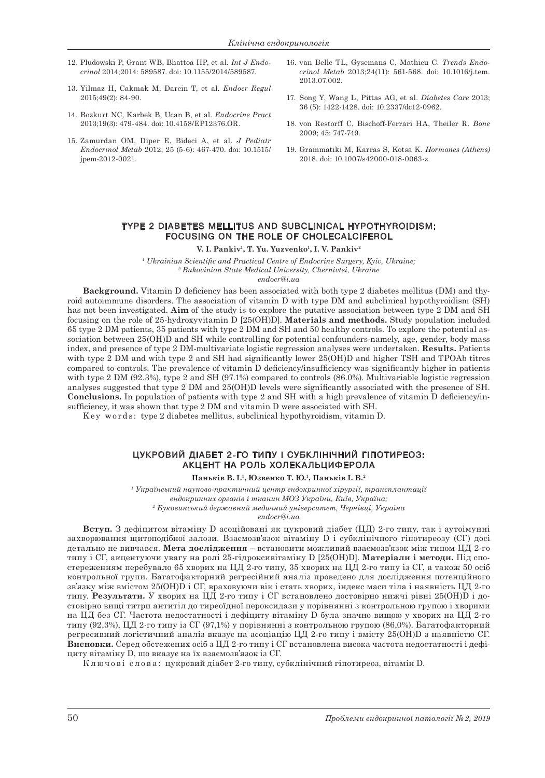- 12. Pludowski P, Grant WB, Bhattoa HP, et al. *Int J Endocrinol* 2014;2014: 589587. doi: 10.1155/2014/589587.
- 13. Yilmaz H, Cakmak M, Darcin T, et al. *Endocr Regul* 2015;49(2): 84-90.
- 14. Bozkurt NC, Karbek B, Ucan B, et al. *Endocrine Pract* 2013;19(3): 479-484. doi: 10.4158/EP12376.OR.
- 15. Zamurdan OM, Diрer E, Bideci A, et al. *J Pediatr Endocrinol Metab* 2012; 25 (5-6): 467-470. doi: 10.1515/ jpem-2012-0021.
- 16. van Belle TL, Gysemans C, Mathieu C. *Trends Endocrinol Metab* 2013;24(11): 561-568. doi: 10.1016/j.tem. 2013.07.002.
- 17. Song Y, Wang L, Pittas AG, et al. *Diabetes Care* 2013; 36 (5): 1422-1428. doi: 10.2337/dc12-0962.
- 18. von Restorff C, Bischoff-Ferrari HA, Theiler R. *Bone* 2009; 45: 747-749.
- 19. Grammatiki M, Karras S, Kotsa K. *Hormones (Athens)* 2018. doi: 10.1007/s42000-018-0063-z.

#### T YPE 2 DIABETES MELLITUS AND SUBCLINICAL HYPOTHYROIDISM: FOCUSING ON THE ROLE OF CHOLECALCIFEROL

V. I. Pankiv<sup>1</sup>, T. Yu. Yuzvenko<sup>1</sup>, I. V. Pankiv<sup>2</sup>

*1 Ukrainian Scientific and Practical Centre of Endocrine Surgery, Kyiv, Ukraine; 2 Bukovinian State Medical University, Chernivtsi, Ukraine endocr@i.ua*

**Background.** Vitamin D deficiency has been associated with both type 2 diabetes mellitus (DM) and thyroid autoimmune disorders. The association of vitamin D with type DM and subclinical hypothyroidism (SH) has not been investigated. **Aim** of the study is to explore the putative association between type 2 DM and SH focusing on the role of 25-hydroxyvitamin D [25(OH)D]. **Materials and methods.** Study population included 65 type 2 DM patients, 35 patients with type 2 DM and SH and 50 healthy controls. To explore the potential association between 25(OH)D and SH while controlling for potential confounders-namely, age, gender, body mass index, and presence of type 2 DM-multivariate logistic regression analyses were undertaken. **Results.** Patients with type 2 DM and with type 2 and SH had significantly lower 25(OH)D and higher TSH and TPOAb titres compared to controls. The prevalence of vitamin D deficiency/insufficiency was significantly higher in patients with type 2 DM (92.3%), type 2 and SH (97.1%) compared to controls (86.0%). Multivariable logistic regression analyses suggested that type 2 DM and 25(OH)D levels were significantly associated with the presence of SH. **Conclusions.** In population of patients with type 2 and SH with a high prevalence of vitamin D deficiency/insufficiency, it was shown that type 2 DM and vitamin D were associated with SH.

K ey wor d s : type 2 diabetes mellitus, subclinical hypothyroidism, vitamin D.

#### ЦУКРОВИЙ ДІАБЕТ 2-ГО ТИПУ І СУБКЛІНІЧНИЙ ГІПОТИРЕОЗ: АКЦЕНТ НА РОЛЬ ХОЛЕКАЛЬЦИФЕРОЛА

**Паньків В. І.1, Юзвенко Т. Ю.1, Паньків І. В.2**

*1 Український науково-практичний центр ендокринної хірургії, трансплантації ендокринних органів і тканин МОЗ України, Київ, Україна; 2 Буковинський державний медичний університет, Чернівці, Україна*

*endocr@i.ua*

**Вступ.** З дефіцитом вітаміну D асоційовані як цукровий діабет (ЦД) 2-го типу, так і аутоімунні захворювання щитоподібної залози. Взаємозв'язок вітаміну D і субклінічного гіпотиреозу (СГ) досі детально не вивчався. **Мета дослідження** – встановити можливий взаємозв'язок між типом ЦД 2-го типу і СГ, акцентуючи увагу на ролі 25-гідроксивітаміну D [25(ОН)D]. **Матеріали і методи.** Під спостереженням перебувало 65 хворих на ЦД 2-го типу, 35 хворих на ЦД 2-го типу із СГ, а також 50 осіб контрольної групи. Багатофакторний регресійний аналіз проведено для дослідження потенційного зв'язку між вмістом 25(ОН)D і СГ, враховуючи вік і стать хворих, індекс маси тіла і наявність ЦД 2-го типу. **Результати.** У хворих на ЦД 2-го типу і СГ встановлено достовірно нижчі рівні 25(ОН)D і достовірно вищі титри антитіл до тиреоїдної пероксидази у порівнянні з контрольною групою і хворими на ЦД без СГ. Частота недостатності і дефіциту вітаміну D була значно вищою у хворих на ЦД 2-го типу (92,3%), ЦД 2-го типу із СГ (97,1%) у порівнянні з контрольною групою (86,0%). Багатофакторний регресивний логістичний аналіз вказує на асоціацію ЦД 2-го типу і вмісту 25(ОН)D з наявністю СГ. **Висновки.** Серед обстежених осіб з ЦД 2-го типу і СГ встановлена висока частота недостатності і дефіциту вітаміну D, що вказує на їх взаємозв'язок із СГ.

К л ю ч о в і с л о в а : цукровий діабет 2-го типу, субклінічний гіпотиреоз, вітамін D.